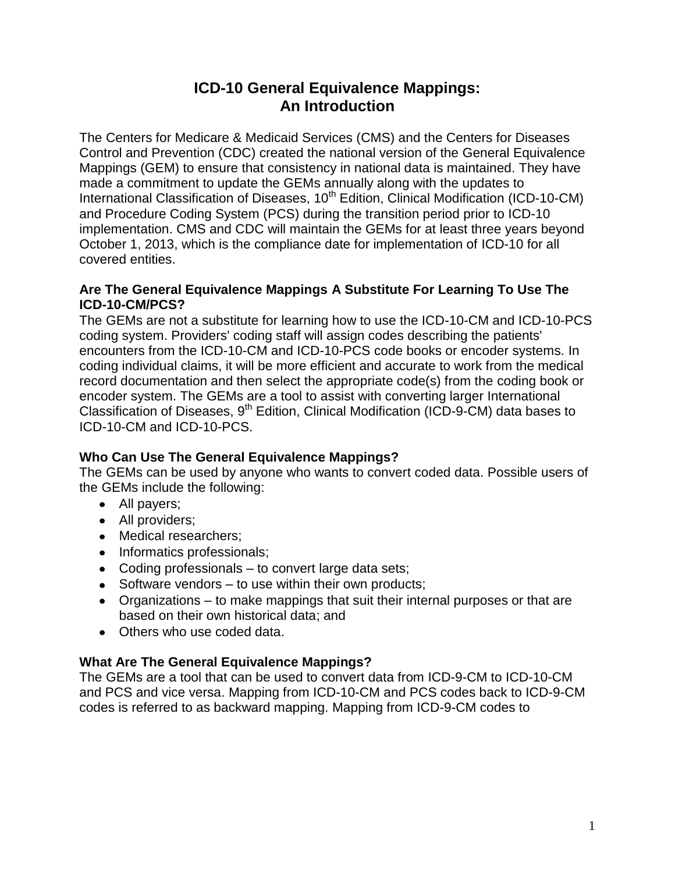# **ICD-10 General Equivalence Mappings: An Introduction**

The Centers for Medicare & Medicaid Services (CMS) and the Centers for Diseases Control and Prevention (CDC) created the national version of the General Equivalence Mappings (GEM) to ensure that consistency in national data is maintained. They have made a commitment to update the GEMs annually along with the updates to International Classification of Diseases, 10<sup>th</sup> Edition, Clinical Modification (ICD-10-CM) and Procedure Coding System (PCS) during the transition period prior to ICD-10 implementation. CMS and CDC will maintain the GEMs for at least three years beyond October 1, 2013, which is the compliance date for implementation of ICD-10 for all covered entities.

### **Are The General Equivalence Mappings A Substitute For Learning To Use The ICD-10-CM/PCS?**

The GEMs are not a substitute for learning how to use the ICD-10-CM and ICD-10-PCS coding system. Providers' coding staff will assign codes describing the patients' encounters from the ICD-10-CM and ICD-10-PCS code books or encoder systems. In coding individual claims, it will be more efficient and accurate to work from the medical record documentation and then select the appropriate code(s) from the coding book or encoder system. The GEMs are a tool to assist with converting larger International Classification of Diseases,  $9<sup>th</sup>$  Edition, Clinical Modification (ICD-9-CM) data bases to ICD-10-CM and ICD-10-PCS.

### **Who Can Use The General Equivalence Mappings?**

The GEMs can be used by anyone who wants to convert coded data. Possible users of the GEMs include the following:

- All payers;
- All providers;
- Medical researchers;
- Informatics professionals;
- Coding professionals to convert large data sets;
- $\bullet$  Software vendors to use within their own products;
- Organizations to make mappings that suit their internal purposes or that are based on their own historical data; and
- Others who use coded data.

## **What Are The General Equivalence Mappings?**

The GEMs are a tool that can be used to convert data from ICD-9-CM to ICD-10-CM and PCS and vice versa. Mapping from ICD-10-CM and PCS codes back to ICD-9-CM codes is referred to as backward mapping. Mapping from ICD-9-CM codes to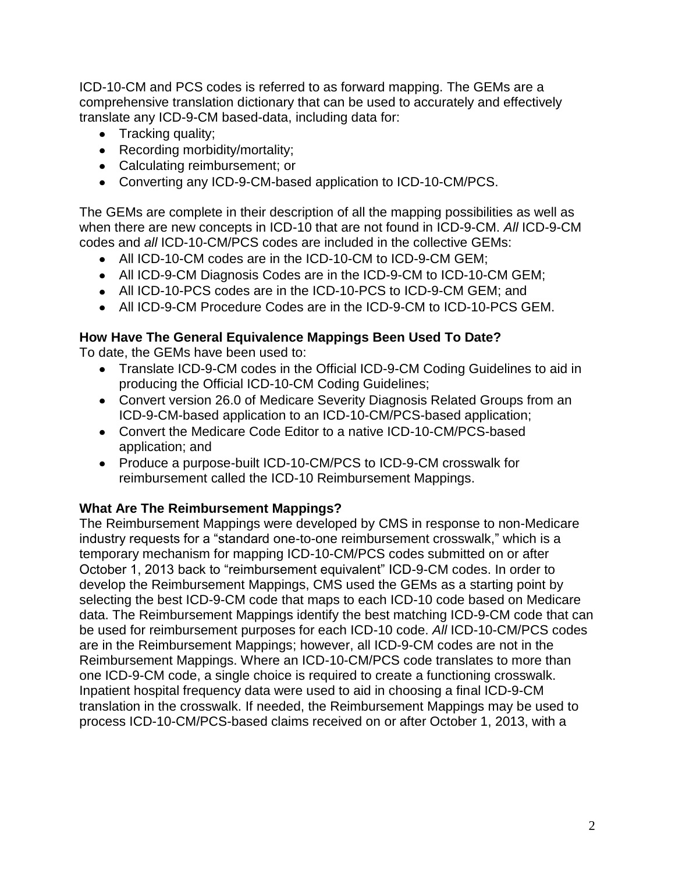ICD-10-CM and PCS codes is referred to as forward mapping. The GEMs are a comprehensive translation dictionary that can be used to accurately and effectively translate any ICD-9-CM based-data, including data for:

- Tracking quality;
- Recording morbidity/mortality;
- Calculating reimbursement; or
- Converting any ICD-9-CM-based application to ICD-10-CM/PCS.

The GEMs are complete in their description of all the mapping possibilities as well as when there are new concepts in ICD-10 that are not found in ICD-9-CM. *All* ICD-9-CM codes and *all* ICD-10-CM/PCS codes are included in the collective GEMs:

- All ICD-10-CM codes are in the ICD-10-CM to ICD-9-CM GEM;
- All ICD-9-CM Diagnosis Codes are in the ICD-9-CM to ICD-10-CM GEM;
- All ICD-10-PCS codes are in the ICD-10-PCS to ICD-9-CM GEM; and
- All ICD-9-CM Procedure Codes are in the ICD-9-CM to ICD-10-PCS GEM.

### **How Have The General Equivalence Mappings Been Used To Date?**

To date, the GEMs have been used to:

- Translate ICD-9-CM codes in the Official ICD-9-CM Coding Guidelines to aid in producing the Official ICD-10-CM Coding Guidelines;
- Convert version 26.0 of Medicare Severity Diagnosis Related Groups from an ICD-9-CM-based application to an ICD-10-CM/PCS-based application;
- Convert the Medicare Code Editor to a native ICD-10-CM/PCS-based application; and
- Produce a purpose-built ICD-10-CM/PCS to ICD-9-CM crosswalk for reimbursement called the ICD-10 Reimbursement Mappings.

#### **What Are The Reimbursement Mappings?**

The Reimbursement Mappings were developed by CMS in response to non-Medicare industry requests for a "standard one-to-one reimbursement crosswalk," which is a temporary mechanism for mapping ICD-10-CM/PCS codes submitted on or after October 1, 2013 back to "reimbursement equivalent" ICD-9-CM codes. In order to develop the Reimbursement Mappings, CMS used the GEMs as a starting point by selecting the best ICD-9-CM code that maps to each ICD-10 code based on Medicare data. The Reimbursement Mappings identify the best matching ICD-9-CM code that can be used for reimbursement purposes for each ICD-10 code. *All* ICD-10-CM/PCS codes are in the Reimbursement Mappings; however, all ICD-9-CM codes are not in the Reimbursement Mappings. Where an ICD-10-CM/PCS code translates to more than one ICD-9-CM code, a single choice is required to create a functioning crosswalk. Inpatient hospital frequency data were used to aid in choosing a final ICD-9-CM translation in the crosswalk. If needed, the Reimbursement Mappings may be used to process ICD-10-CM/PCS-based claims received on or after October 1, 2013, with a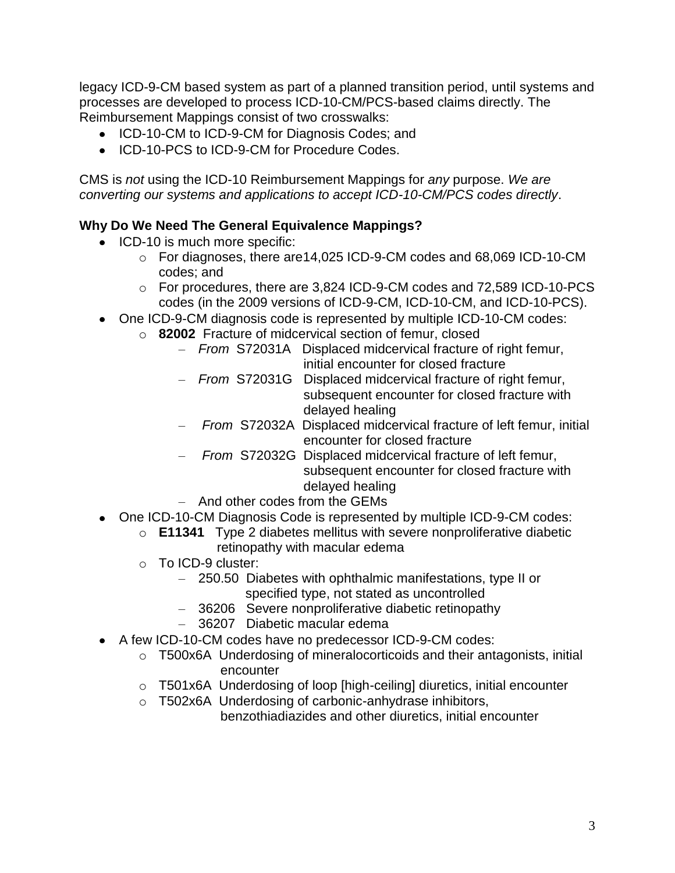legacy ICD-9-CM based system as part of a planned transition period, until systems and processes are developed to process ICD-10-CM/PCS-based claims directly. The Reimbursement Mappings consist of two crosswalks:

- ICD-10-CM to ICD-9-CM for Diagnosis Codes; and
- ICD-10-PCS to ICD-9-CM for Procedure Codes.

CMS is *not* using the ICD-10 Reimbursement Mappings for *any* purpose. *We are converting our systems and applications to accept ICD-10-CM/PCS codes directly*.

## **Why Do We Need The General Equivalence Mappings?**

- ICD-10 is much more specific:
	- o For diagnoses, there are14,025 ICD-9-CM codes and 68,069 ICD-10-CM codes; and
	- o For procedures, there are 3,824 ICD-9-CM codes and 72,589 ICD-10-PCS codes (in the 2009 versions of ICD-9-CM, ICD-10-CM, and ICD-10-PCS).
- One ICD-9-CM diagnosis code is represented by multiple ICD-10-CM codes:
	- o **82002** Fracture of midcervical section of femur, closed
		- *From* S72031A Displaced midcervical fracture of right femur, initial encounter for closed fracture
		- *From* S72031G Displaced midcervical fracture of right femur, subsequent encounter for closed fracture with delayed healing
		- *From* S72032A Displaced midcervical fracture of left femur, initial encounter for closed fracture
		- *From* S72032G Displaced midcervical fracture of left femur, subsequent encounter for closed fracture with delayed healing
		- And other codes from the GEMs
- One ICD-10-CM Diagnosis Code is represented by multiple ICD-9-CM codes:
	- o **E11341** Type 2 diabetes mellitus with severe nonproliferative diabetic retinopathy with macular edema
	- o To ICD-9 cluster:
		- 250.50 Diabetes with ophthalmic manifestations, type II or specified type, not stated as uncontrolled
		- 36206 Severe nonproliferative diabetic retinopathy
		- 36207 Diabetic macular edema
- A few ICD-10-CM codes have no predecessor ICD-9-CM codes:
	- o T500x6A Underdosing of mineralocorticoids and their antagonists, initial encounter
	- o T501x6A Underdosing of loop [high-ceiling] diuretics, initial encounter
	- o T502x6A Underdosing of carbonic-anhydrase inhibitors,

benzothiadiazides and other diuretics, initial encounter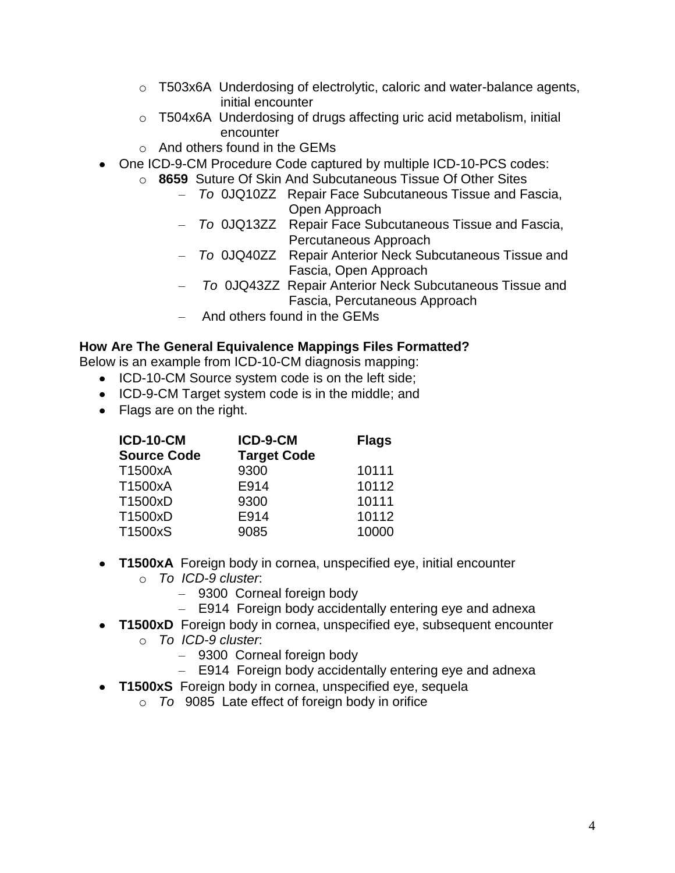- $\circ$  T503x6A Underdosing of electrolytic, caloric and water-balance agents, initial encounter
- o T504x6A Underdosing of drugs affecting uric acid metabolism, initial encounter
- $\circ$  And others found in the GFMs
- One ICD-9-CM Procedure Code captured by multiple ICD-10-PCS codes:
	- o **8659** Suture Of Skin And Subcutaneous Tissue Of Other Sites
		- *To* 0JQ10ZZ Repair Face Subcutaneous Tissue and Fascia, **Open Approach**
		- *To* 0JQ13ZZ Repair Face Subcutaneous Tissue and Fascia, Percutaneous Approach
		- *To* 0JQ40ZZ Repair Anterior Neck Subcutaneous Tissue and Fascia, Open Approach
		- *To* 0JQ43ZZ Repair Anterior Neck Subcutaneous Tissue and Fascia, Percutaneous Approach
		- And others found in the GEMs

### **How Are The General Equivalence Mappings Files Formatted?**

Below is an example from ICD-10-CM diagnosis mapping:

- ICD-10-CM Source system code is on the left side;
- ICD-9-CM Target system code is in the middle; and
- Flags are on the right.

| <b>ICD-10-CM</b>   | ICD-9-CM           | <b>Flags</b> |
|--------------------|--------------------|--------------|
| <b>Source Code</b> | <b>Target Code</b> |              |
| T1500xA            | 9300               | 10111        |
| T1500xA            | E914               | 10112        |
| T1500xD            | 9300               | 10111        |
| T1500xD            | E914               | 10112        |
| T1500xS            | 9085               | 10000        |

- **T1500xA** Foreign body in cornea, unspecified eye, initial encounter o *To ICD-9 cluster*:
	- 9300 Corneal foreign body
	- E914 Foreign body accidentally entering eye and adnexa
- **T1500xD** Foreign body in cornea, unspecified eye, subsequent encounter
	- o *To ICD-9 cluster*:
		- 9300 Corneal foreign body
		- E914 Foreign body accidentally entering eye and adnexa
- **T1500xS** Foreign body in cornea, unspecified eye, sequela
	- o *To* 9085 Late effect of foreign body in orifice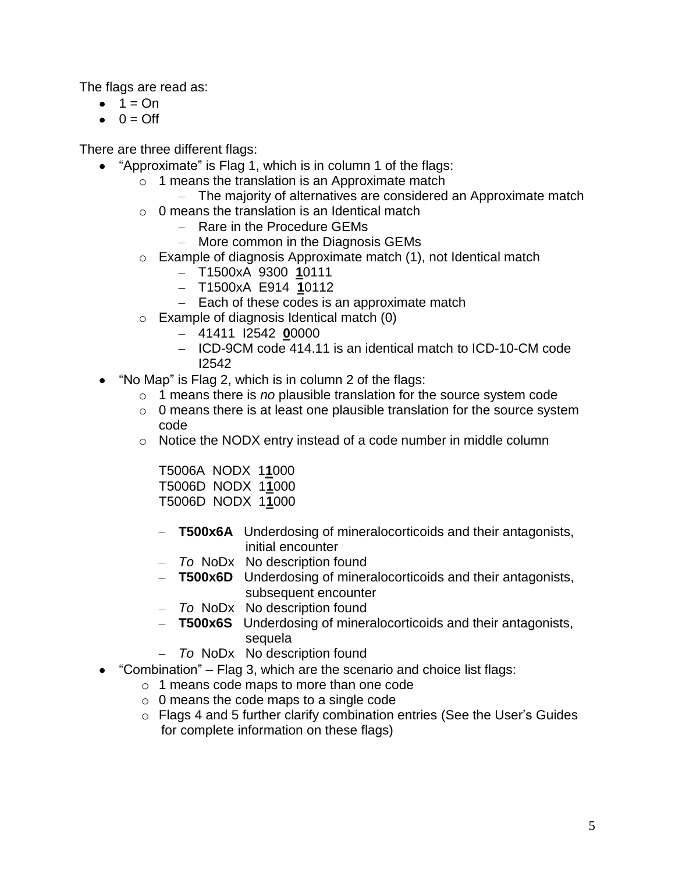The flags are read as:

- $\bullet$  1 = On
- $0 = \bigcirc$  ff

There are three different flags:

- "Approximate" is Flag 1, which is in column 1 of the flags:
	- $\circ$  1 means the translation is an Approximate match
		- The majority of alternatives are considered an Approximate match
	- $\circ$  0 means the translation is an Identical match
		- Rare in the Procedure GEMs
		- More common in the Diagnosis GEMs
	- o Example of diagnosis Approximate match (1), not Identical match
		- T1500xA 9300 **1**0111
		- T1500xA E914 **1**0112
		- Each of these codes is an approximate match
	- o Example of diagnosis Identical match (0)
		- 41411 I2542 **0**0000
		- ICD-9CM code 414.11 is an identical match to ICD-10-CM code I2542
- $\bullet$  "No Map" is Flag 2, which is in column 2 of the flags:
	- o 1 means there is *no* plausible translation for the source system code
	- $\circ$  0 means there is at least one plausible translation for the source system code
	- o Notice the NODX entry instead of a code number in middle column

T5006A NODX 1**1**000 T5006D NODX 1**1**000 T5006D NODX 1**1**000

- **T500x6A** Underdosing of mineralocorticoids and their antagonists, initial encounter
- *To* NoDx No description found
- **T500x6D** Underdosing of mineralocorticoids and their antagonists, subsequent encounter
- *To* NoDx No description found
- **T500x6S** Underdosing of mineralocorticoids and their antagonists, sequela
- *To* NoDx No description found
- "Combination" Flag 3, which are the scenario and choice list flags:
	- o 1 means code maps to more than one code
	- o 0 means the code maps to a single code
	- o Flags 4 and 5 further clarify combination entries (See the User's Guides for complete information on these flags)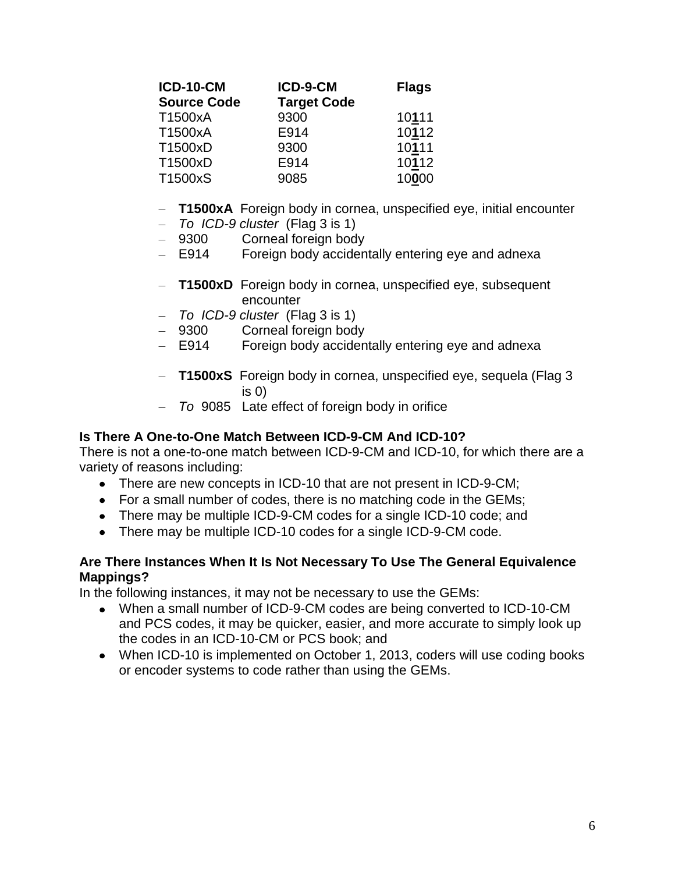| <b>ICD-10-CM</b>   | ICD-9-CM           | <b>Flags</b> |
|--------------------|--------------------|--------------|
| <b>Source Code</b> | <b>Target Code</b> |              |
| T1500xA            | 9300               | 10111        |
| T1500xA            | E914               | 10112        |
| T1500xD            | 9300               | 10111        |
| T1500xD            | E914               | 10112        |
| T1500xS            | 9085               | 10000        |

- **T1500xA** Foreign body in cornea, unspecified eye, initial encounter
- *To ICD-9 cluster* (Flag 3 is 1)
- 9300 Corneal foreign body
- E914 Foreign body accidentally entering eye and adnexa
- **T1500xD** Foreign body in cornea, unspecified eye, subsequent encounter
- *To ICD-9 cluster* (Flag 3 is 1)
- 9300 Corneal foreign body
- E914 Foreign body accidentally entering eye and adnexa
- **T1500xS** Foreign body in cornea, unspecified eye, sequela (Flag 3 is 0)
- *To* 9085 Late effect of foreign body in orifice

#### **Is There A One-to-One Match Between ICD-9-CM And ICD-10?**

There is not a one-to-one match between ICD-9-CM and ICD-10, for which there are a variety of reasons including:

- There are new concepts in ICD-10 that are not present in ICD-9-CM;
- For a small number of codes, there is no matching code in the GEMs;
- There may be multiple ICD-9-CM codes for a single ICD-10 code; and
- There may be multiple ICD-10 codes for a single ICD-9-CM code.

#### **Are There Instances When It Is Not Necessary To Use The General Equivalence Mappings?**

In the following instances, it may not be necessary to use the GEMs:

- When a small number of ICD-9-CM codes are being converted to ICD-10-CM and PCS codes, it may be quicker, easier, and more accurate to simply look up the codes in an ICD-10-CM or PCS book; and
- When ICD-10 is implemented on October 1, 2013, coders will use coding books or encoder systems to code rather than using the GEMs.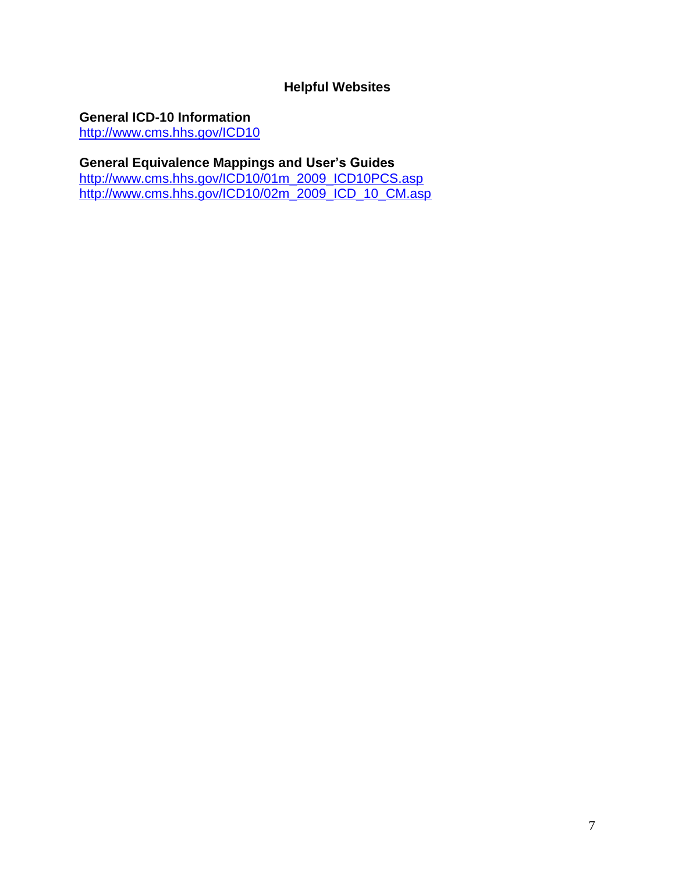## **Helpful Websites**

**General ICD-10 Information**

<http://www.cms.hhs.gov/ICD10>

### **General Equivalence Mappings and User's Guides**

[http://www.cms.hhs.gov/ICD10/01m\\_2009\\_ICD10PCS.asp](http://www.cms.hhs.gov/ICD10/01m_2009_ICD10PCS.asp) [http://www.cms.hhs.gov/ICD10/02m\\_2009\\_ICD\\_10\\_CM.asp](http://www.cms.hhs.gov/ICD10/02m_2009_ICD_10_CM.asp)